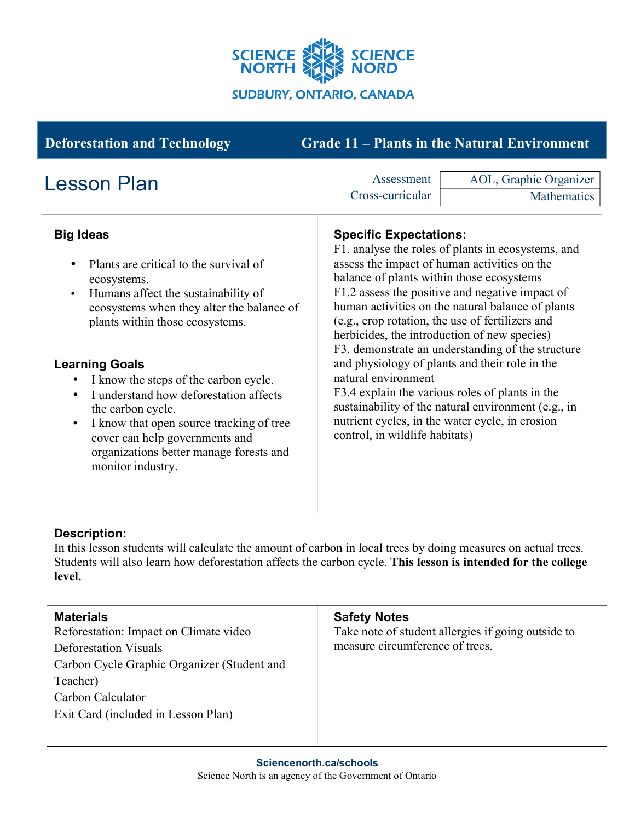

| <b>Deforestation and Technology</b>                                                                                                                                                                                                                                                                                                                                                                                                                                                                                                 | <b>Grade 11 – Plants in the Natural Environment</b>                                                                                                                                                                                                                                                                                                                                                                                                                                                                                                                                                                                                                                                                       |                                       |
|-------------------------------------------------------------------------------------------------------------------------------------------------------------------------------------------------------------------------------------------------------------------------------------------------------------------------------------------------------------------------------------------------------------------------------------------------------------------------------------------------------------------------------------|---------------------------------------------------------------------------------------------------------------------------------------------------------------------------------------------------------------------------------------------------------------------------------------------------------------------------------------------------------------------------------------------------------------------------------------------------------------------------------------------------------------------------------------------------------------------------------------------------------------------------------------------------------------------------------------------------------------------------|---------------------------------------|
| <b>Lesson Plan</b>                                                                                                                                                                                                                                                                                                                                                                                                                                                                                                                  | Assessment<br>Cross-curricular                                                                                                                                                                                                                                                                                                                                                                                                                                                                                                                                                                                                                                                                                            | AOL, Graphic Organizer<br>Mathematics |
| <b>Big Ideas</b><br>Plants are critical to the survival of<br>ecosystems.<br>Humans affect the sustainability of<br>$\bullet$<br>ecosystems when they alter the balance of<br>plants within those ecosystems.<br><b>Learning Goals</b><br>I know the steps of the carbon cycle.<br>$\bullet$<br>I understand how deforestation affects<br>$\bullet$<br>the carbon cycle.<br>I know that open source tracking of tree<br>$\bullet$<br>cover can help governments and<br>organizations better manage forests and<br>monitor industry. | <b>Specific Expectations:</b><br>F1. analyse the roles of plants in ecosystems, and<br>assess the impact of human activities on the<br>balance of plants within those ecosystems<br>F1.2 assess the positive and negative impact of<br>human activities on the natural balance of plants<br>(e.g., crop rotation, the use of fertilizers and<br>herbicides, the introduction of new species)<br>F3. demonstrate an understanding of the structure<br>and physiology of plants and their role in the<br>natural environment<br>F3.4 explain the various roles of plants in the<br>sustainability of the natural environment (e.g., in<br>nutrient cycles, in the water cycle, in erosion<br>control, in wildlife habitats) |                                       |

# **Description:**

In this lesson students will calculate the amount of carbon in local trees by doing measures on actual trees. Students will also learn how deforestation affects the carbon cycle. **This lesson is intended for the college level.**

| <b>Materials</b>                            | <b>Safety Notes</b>                                |
|---------------------------------------------|----------------------------------------------------|
| Reforestation: Impact on Climate video      | Take note of student allergies if going outside to |
| <b>Deforestation Visuals</b>                | measure circumference of trees.                    |
| Carbon Cycle Graphic Organizer (Student and |                                                    |
| Teacher)                                    |                                                    |
| Carbon Calculator                           |                                                    |
| Exit Card (included in Lesson Plan)         |                                                    |
|                                             |                                                    |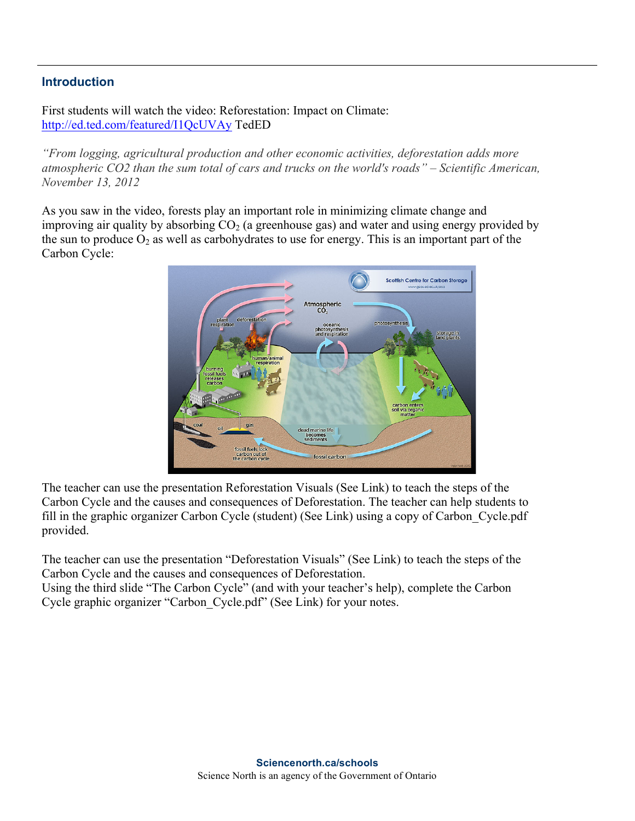# **Introduction**

First students will watch the video: Reforestation: Impact on Climate: http://ed.ted.com/featured/I1QcUVAy TedED

*"From logging, agricultural production and other economic activities, deforestation adds more atmospheric CO2 than the sum total of cars and trucks on the world's roads" – Scientific American, November 13, 2012*

As you saw in the video, forests play an important role in minimizing climate change and improving air quality by absorbing  $CO<sub>2</sub>$  (a greenhouse gas) and water and using energy provided by the sun to produce  $O_2$  as well as carbohydrates to use for energy. This is an important part of the Carbon Cycle:



The teacher can use the presentation Reforestation Visuals (See Link) to teach the steps of the Carbon Cycle and the causes and consequences of Deforestation. The teacher can help students to fill in the graphic organizer Carbon Cycle (student) (See Link) using a copy of Carbon\_Cycle.pdf provided.

The teacher can use the presentation "Deforestation Visuals" (See Link) to teach the steps of the Carbon Cycle and the causes and consequences of Deforestation.

Using the third slide "The Carbon Cycle" (and with your teacher's help), complete the Carbon Cycle graphic organizer "Carbon\_Cycle.pdf" (See Link) for your notes.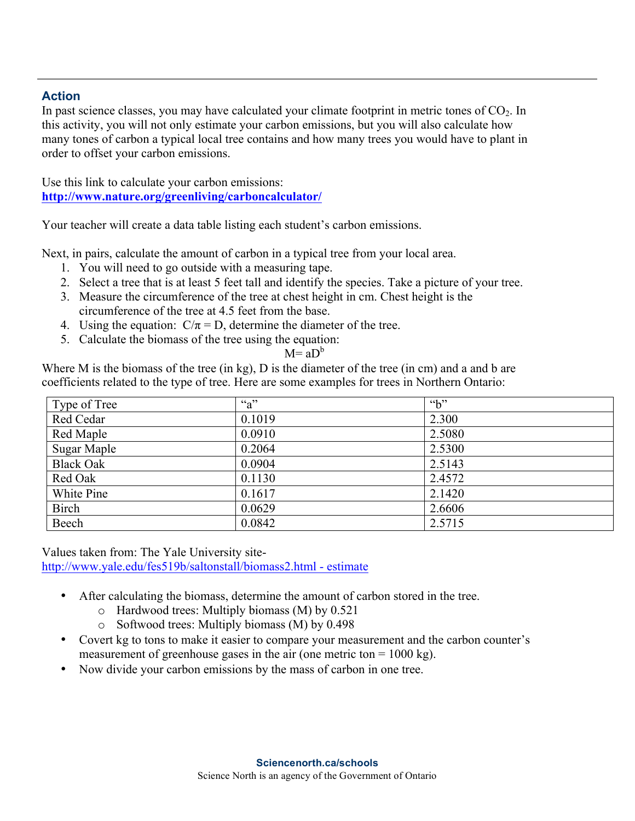# **Action**

In past science classes, you may have calculated your climate footprint in metric tones of  $CO<sub>2</sub>$ . In this activity, you will not only estimate your carbon emissions, but you will also calculate how many tones of carbon a typical local tree contains and how many trees you would have to plant in order to offset your carbon emissions.

Use this link to calculate your carbon emissions: **http://www.nature.org/greenliving/carboncalculator/**

Your teacher will create a data table listing each student's carbon emissions.

Next, in pairs, calculate the amount of carbon in a typical tree from your local area.

- 1. You will need to go outside with a measuring tape.
- 2. Select a tree that is at least 5 feet tall and identify the species. Take a picture of your tree.
- 3. Measure the circumference of the tree at chest height in cm. Chest height is the circumference of the tree at 4.5 feet from the base.
- 4. Using the equation:  $C/\pi = D$ , determine the diameter of the tree.
- 5. Calculate the biomass of the tree using the equation:

# $M = aD^b$

Where M is the biomass of the tree (in kg), D is the diameter of the tree (in cm) and a and b are coefficients related to the type of tree. Here are some examples for trees in Northern Ontario:

| Type of Tree     | $a^{\prime\prime}$ | $\alpha$ <sup>3</sup> |
|------------------|--------------------|-----------------------|
| Red Cedar        | 0.1019             | 2.300                 |
| Red Maple        | 0.0910             | 2.5080                |
| Sugar Maple      | 0.2064             | 2.5300                |
| <b>Black Oak</b> | 0.0904             | 2.5143                |
| Red Oak          | 0.1130             | 2.4572                |
| White Pine       | 0.1617             | 2.1420                |
| Birch            | 0.0629             | 2.6606                |
| Beech            | 0.0842             | 2.5715                |

Values taken from: The Yale University sitehttp://www.yale.edu/fes519b/saltonstall/biomass2.html - estimate

- After calculating the biomass, determine the amount of carbon stored in the tree.
	- o Hardwood trees: Multiply biomass (M) by 0.521
	- o Softwood trees: Multiply biomass (M) by 0.498
- Covert kg to tons to make it easier to compare your measurement and the carbon counter's measurement of greenhouse gases in the air (one metric ton  $= 1000$  kg).
- Now divide your carbon emissions by the mass of carbon in one tree.